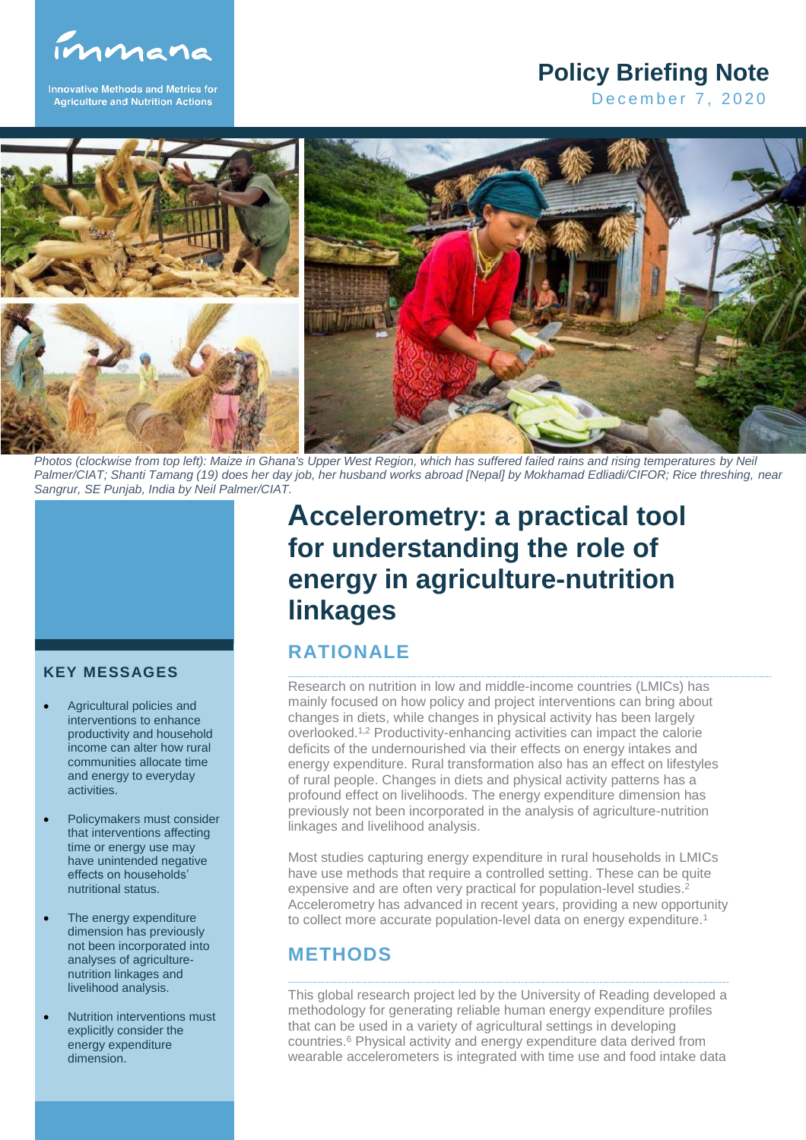

**Innovative Methods and Metrics for Agriculture and Nutrition Actions** 

## **Policy Briefing Note**

December 7, 2020



*Photos (clockwise from top left): Maize in Ghana's Upper West Region, which has suffered failed rains and rising temperatures by Neil Palmer/CIAT; Shanti Tamang (19) does her day job, her husband works abroad [Nepal] by Mokhamad Edliadi/CIFOR; Rice threshing, near Sangrur, SE Punjab, India by Neil Palmer/CIAT.*



#### **KEY MESSAGES**

- Agricultural policies and interventions to enhance productivity and household income can alter how rural communities allocate time and energy to everyday activities.
- Policymakers must consider that interventions affecting time or energy use may have unintended negative effects on households' nutritional status.
- The energy expenditure dimension has previously not been incorporated into analyses of agriculturenutrition linkages and livelihood analysis.
- Nutrition interventions must explicitly consider the energy expenditure dimension.

# **Accelerometry: a practical tool for understanding the role of energy in agriculture-nutrition linkages**

## **RATIONALE**

Research on nutrition in low and middle-income countries (LMICs) has mainly focused on how policy and project interventions can bring about changes in diets, while changes in physical activity has been largely overlooked. 1,2 Productivity-enhancing activities can impact the calorie deficits of the undernourished via their effects on energy intakes and energy expenditure. Rural transformation also has an effect on lifestyles of rural people. Changes in diets and physical activity patterns has a profound effect on livelihoods. The energy expenditure dimension has previously not been incorporated in the analysis of agriculture-nutrition linkages and livelihood analysis.

Most studies capturing energy expenditure in rural households in LMICs have use methods that require a controlled setting. These can be quite expensive and are often very practical for population-level studies.<sup>2</sup> Accelerometry has advanced in recent years, providing a new opportunity to collect more accurate population-level data on energy expenditure.<sup>1</sup>

## **METHODS**

This global research project led by the University of Reading developed a methodology for generating reliable human energy expenditure profiles that can be used in a variety of agricultural settings in developing countries.<sup>6</sup> Physical activity and energy expenditure data derived from wearable accelerometers is integrated with time use and food intake data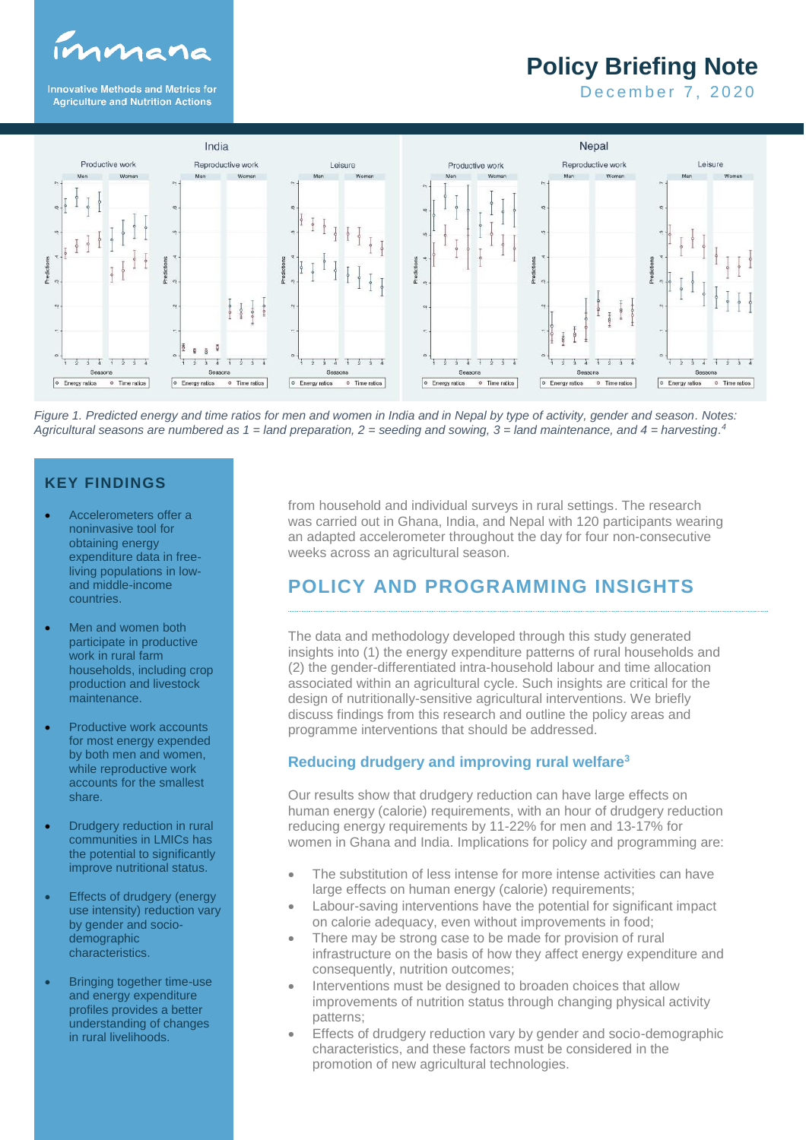

**Innovative Methods and Metrics for Agriculture and Nutrition Actions** 

# **Policy Briefing Note**

December 7, 2020



*Figure 1. Predicted energy and time ratios for men and women in India and in Nepal by type of activity, gender and season. Notes: Agricultural seasons are numbered as 1 = land preparation, 2 = seeding and sowing, 3 = land maintenance, and 4 = harvesting. 4*

#### **KEY FINDINGS**

- Accelerometers offer a noninvasive tool for obtaining energy expenditure data in freeliving populations in lowand middle-income countries.
- Men and women both participate in productive work in rural farm households, including crop production and livestock maintenance.
- Productive work accounts for most energy expended by both men and women, while reproductive work accounts for the smallest share.
- **Drudgery reduction in rural** communities in LMICs has the potential to significantly improve nutritional status.
- **Effects of drudgery (energy** use intensity) reduction vary by gender and sociodemographic characteristics.
- Bringing together time-use and energy expenditure profiles provides a better understanding of changes in rural livelihoods.

from household and individual surveys in rural settings. The research was carried out in Ghana, India, and Nepal with 120 participants wearing an adapted accelerometer throughout the day for four non-consecutive weeks across an agricultural season.

## **POLICY AND PROGRAMMING INSIGHTS**

The data and methodology developed through this study generated insights into (1) the energy expenditure patterns of rural households and (2) the gender-differentiated intra-household labour and time allocation associated within an agricultural cycle. Such insights are critical for the design of nutritionally-sensitive agricultural interventions. We briefly discuss findings from this research and outline the policy areas and programme interventions that should be addressed.

#### **Reducing drudgery and improving rural welfare<sup>3</sup>**

Our results show that drudgery reduction can have large effects on human energy (calorie) requirements, with an hour of drudgery reduction reducing energy requirements by 11-22% for men and 13-17% for women in Ghana and India. Implications for policy and programming are:

- The substitution of less intense for more intense activities can have large effects on human energy (calorie) requirements;
- Labour-saving interventions have the potential for significant impact on calorie adequacy, even without improvements in food;
- There may be strong case to be made for provision of rural infrastructure on the basis of how they affect energy expenditure and consequently, nutrition outcomes;
- Interventions must be designed to broaden choices that allow improvements of nutrition status through changing physical activity patterns;
- Effects of drudgery reduction vary by gender and socio-demographic characteristics, and these factors must be considered in the promotion of new agricultural technologies.